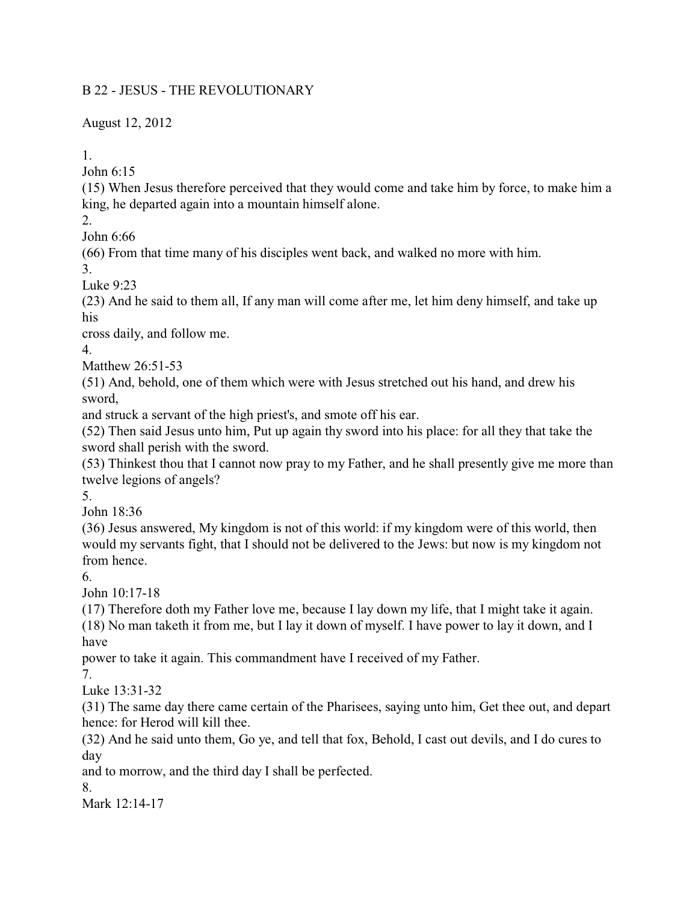## B 22 - JESUS - THE REVOLUTIONARY

August 12, 2012

1.

John 6:15

(15) When Jesus therefore perceived that they would come and take him by force, to make him a king, he departed again into a mountain himself alone.

2.

John 6:66

(66) From that time many of his disciples went back, and walked no more with him.

3.

Luke 9:23

(23) And he said to them all, If any man will come after me, let him deny himself, and take up his

cross daily, and follow me.

4.

Matthew 26:51-53

(51) And, behold, one of them which were with Jesus stretched out his hand, and drew his sword,

and struck a servant of the high priest's, and smote off his ear.

(52) Then said Jesus unto him, Put up again thy sword into his place: for all they that take the sword shall perish with the sword.

(53) Thinkest thou that I cannot now pray to my Father, and he shall presently give me more than twelve legions of angels?

5.

John 18:36

(36) Jesus answered, My kingdom is not of this world: if my kingdom were of this world, then would my servants fight, that I should not be delivered to the Jews: but now is my kingdom not from hence.

6.

John 10:17-18

(17) Therefore doth my Father love me, because I lay down my life, that I might take it again. (18) No man taketh it from me, but I lay it down of myself. I have power to lay it down, and I have

power to take it again. This commandment have I received of my Father.

7.

Luke 13:31-32

(31) The same day there came certain of the Pharisees, saying unto him, Get thee out, and depart hence: for Herod will kill thee.

(32) And he said unto them, Go ye, and tell that fox, Behold, I cast out devils, and I do cures to day

and to morrow, and the third day I shall be perfected.

8.

Mark 12:14-17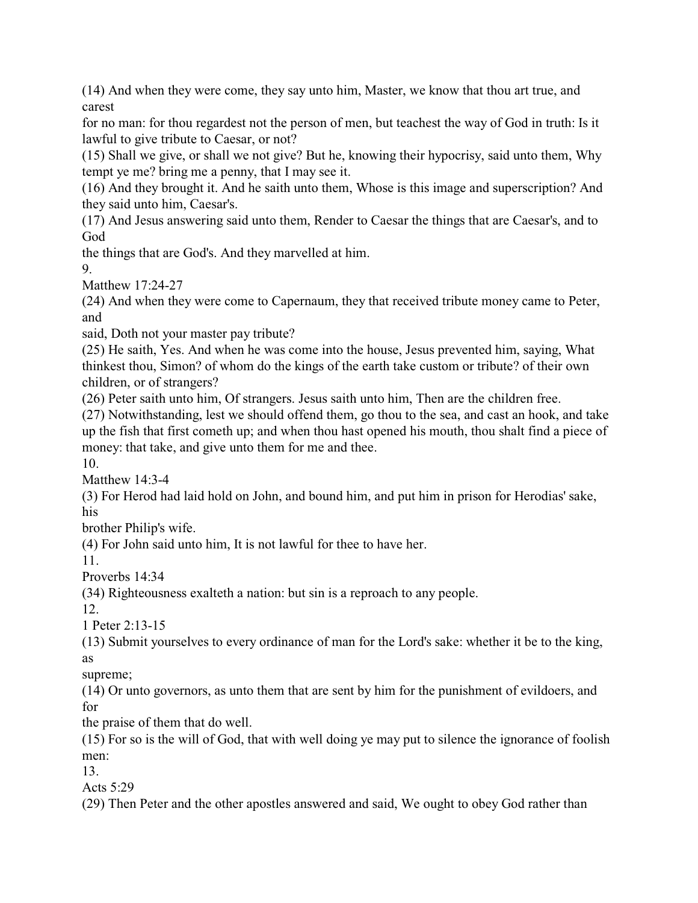(14) And when they were come, they say unto him, Master, we know that thou art true, and carest

for no man: for thou regardest not the person of men, but teachest the way of God in truth: Is it lawful to give tribute to Caesar, or not?

(15) Shall we give, or shall we not give? But he, knowing their hypocrisy, said unto them, Why tempt ye me? bring me a penny, that I may see it.

(16) And they brought it. And he saith unto them, Whose is this image and superscription? And they said unto him, Caesar's.

(17) And Jesus answering said unto them, Render to Caesar the things that are Caesar's, and to God

the things that are God's. And they marvelled at him.

9.

Matthew 17:24-27

(24) And when they were come to Capernaum, they that received tribute money came to Peter, and

said, Doth not your master pay tribute?

(25) He saith, Yes. And when he was come into the house, Jesus prevented him, saying, What thinkest thou, Simon? of whom do the kings of the earth take custom or tribute? of their own children, or of strangers?

(26) Peter saith unto him, Of strangers. Jesus saith unto him, Then are the children free.

(27) Notwithstanding, lest we should offend them, go thou to the sea, and cast an hook, and take up the fish that first cometh up; and when thou hast opened his mouth, thou shalt find a piece of money: that take, and give unto them for me and thee.

10.

Matthew 14:3-4

(3) For Herod had laid hold on John, and bound him, and put him in prison for Herodias' sake, his

brother Philip's wife.

(4) For John said unto him, It is not lawful for thee to have her.

11.

Proverbs 14:34

(34) Righteousness exalteth a nation: but sin is a reproach to any people.

12.

1 Peter 2:13-15

(13) Submit yourselves to every ordinance of man for the Lord's sake: whether it be to the king, as

supreme;

(14) Or unto governors, as unto them that are sent by him for the punishment of evildoers, and for

the praise of them that do well.

(15) For so is the will of God, that with well doing ye may put to silence the ignorance of foolish men:

13.

Acts 5:29

(29) Then Peter and the other apostles answered and said, We ought to obey God rather than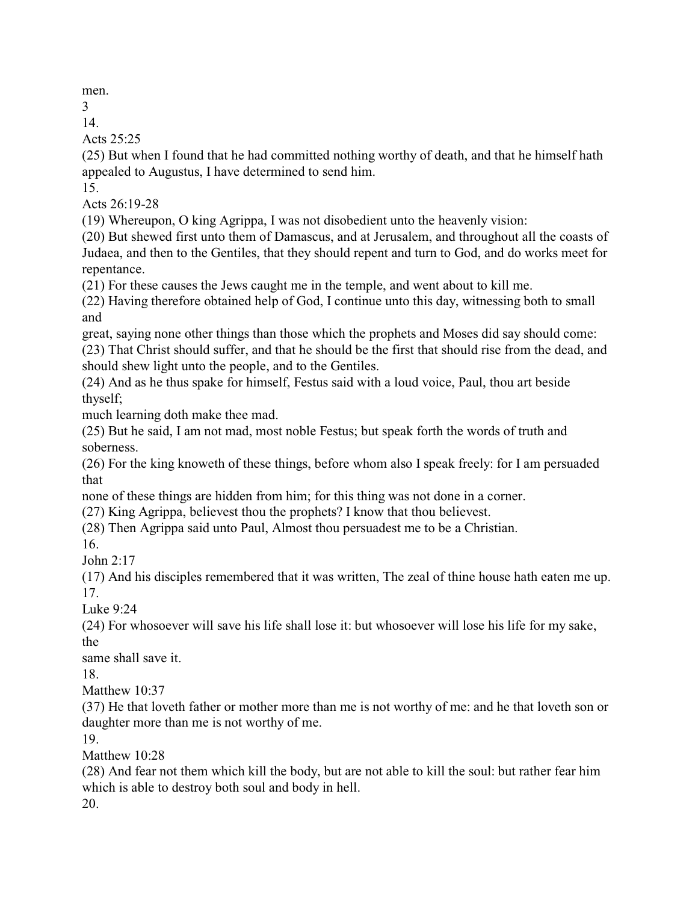men.

3

14.

Acts 25:25

(25) But when I found that he had committed nothing worthy of death, and that he himself hath appealed to Augustus, I have determined to send him.

15.

Acts 26:19-28

(19) Whereupon, O king Agrippa, I was not disobedient unto the heavenly vision:

(20) But shewed first unto them of Damascus, and at Jerusalem, and throughout all the coasts of Judaea, and then to the Gentiles, that they should repent and turn to God, and do works meet for repentance.

(21) For these causes the Jews caught me in the temple, and went about to kill me.

(22) Having therefore obtained help of God, I continue unto this day, witnessing both to small and

great, saying none other things than those which the prophets and Moses did say should come: (23) That Christ should suffer, and that he should be the first that should rise from the dead, and should shew light unto the people, and to the Gentiles.

(24) And as he thus spake for himself, Festus said with a loud voice, Paul, thou art beside thyself;

much learning doth make thee mad.

(25) But he said, I am not mad, most noble Festus; but speak forth the words of truth and soberness.

(26) For the king knoweth of these things, before whom also I speak freely: for I am persuaded that

none of these things are hidden from him; for this thing was not done in a corner.

(27) King Agrippa, believest thou the prophets? I know that thou believest.

(28) Then Agrippa said unto Paul, Almost thou persuadest me to be a Christian.

16.

John 2:17

(17) And his disciples remembered that it was written, The zeal of thine house hath eaten me up. 17.

Luke 9:24

(24) For whosoever will save his life shall lose it: but whosoever will lose his life for my sake, the

same shall save it.

18.

Matthew 10:37

(37) He that loveth father or mother more than me is not worthy of me: and he that loveth son or daughter more than me is not worthy of me.

19.

Matthew 10.28

(28) And fear not them which kill the body, but are not able to kill the soul: but rather fear him which is able to destroy both soul and body in hell.

20.